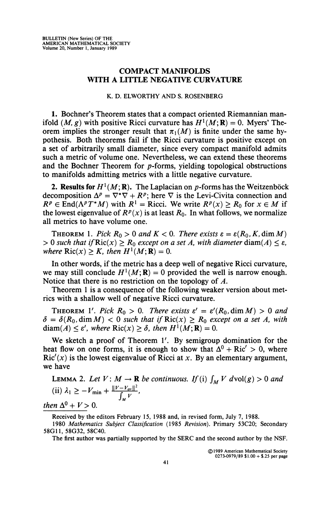## **COMPACT MANIFOLDS WITH A LITTLE NEGATIVE CURVATURE**

## **K. D. ELWORTHY AND S. ROSENBERG**

**1.** Bochner's Theorem states that a compact oriented Riemannian manifold  $(M, g)$  with positive Ricci curvature has  $H^1(M; \mathbf{R}) = 0$ . Myers' Theorem implies the stronger result that  $\pi_1(M)$  is finite under the same hypothesis. Both theorems fail if the Ricci curvature is positive except on a set of arbitrarily small diameter, since every compact manifold admits such a metric of volume one. Nevertheless, we can extend these theorems and the Bochner Theorem for  $p$ -forms, yielding topological obstructions to manifolds admitting metrics with a little negative curvature.

**2. Results for**  $H^1(M; \mathbf{R})$ . The Laplacian on p-forms has the Weitzenböck decomposition  $\Delta^p = \nabla^* \nabla + R^p$ ; here  $\nabla$  is the Levi-Civita connection and  $R^p \in \text{End}(\Lambda^p T^*M)$  with  $R^1 = \text{Ricci.}$  We write  $R^p(x) \ge R_0$  for  $x \in M$  if the lowest eigenvalue of  $R^p(x)$  is at least  $R_0$ . In what follows, we normalize all metrics to have volume one.

**THEOREM** 1. Pick  $R_0 > 0$  and  $K < 0$ . There exists  $\varepsilon = \varepsilon(R_0, K, \dim M)$  $> 0$  such that if  $\text{Ric}(x) \geq R_0$  except on a set A, with diameter diam( $A \leq \varepsilon$ , *where*  $\text{Ric}(x) \geq K$ , then  $H^1(M; \mathbf{R}) = 0$ .

In other words, if the metric has a deep well of negative Ricci curvature, we may still conclude  $H^1(M; \mathbf{R}) = 0$  provided the well is narrow enough. Notice that there is no restriction on the topology of *A.* 

Theorem 1 is a consequence of the following weaker version about metrics with a shallow well of negative Ricci curvature.

THEOREM 1'. Pick  $R_0 > 0$ . There exists  $\varepsilon' = \varepsilon'(R_0, \dim M) > 0$  and  $\delta = \delta(R_0, \text{dim }M) < 0$  such that if  $\text{Ric}(x) \geq R_0$  except on a set A, with  $\text{diam}(\mathbf{A}) \leq \varepsilon'$ , where  $\text{Ric}(x) \geq \delta$ , then  $H^1(M;\mathbf{R}) = 0$ .

We sketch a proof of Theorem 1'. By semigroup domination for the heat flow on one forms, it is enough to show that  $\Delta^0$  + Ric' > 0, where  $Ric'(x)$  is the lowest eigenvalue of Ricci at x. By an elementary argument, we have

LEMMA 2. Let  $V: M \to \mathbf{R}$  be continuous. If (i)  $\int_M V \, dvol(g) > 0$  and (ii)  $\lambda_1 \geq -V_{\min} + \frac{\|V - V_{av}\|^2}{\int_M V}$ ,

*then*  $\Delta^0 + V > 0$ .

**Received by the editors February 15, 1988 and, in revised form, July 7, 1988.** 

**1980** *Mathematics Subject Classification* **(1985** *Revision).* **Primary 53C20; Secondary 58G11,58G32, 58C40.** 

**The first author was partially supported by the SERC and the second author by the NSF.** 

**©1989 American Mathematical Society 0273-0979/89 \$1.00 + \$.25 per page**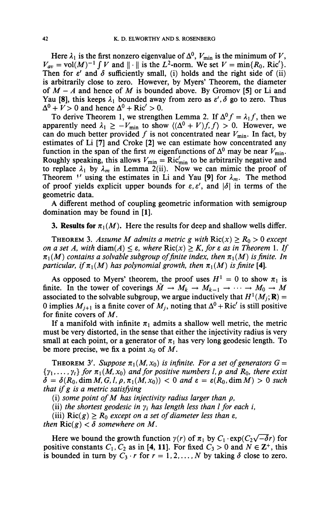Here  $\lambda_1$  is the first nonzero eigenvalue of  $\Delta^0$ ,  $V_{\text{min}}$  is the minimum of V,  $V_{av} = \text{vol}(M)^{-1} \int V$  and  $||\cdot||$  is the  $L^2$ -norm. We set  $V = \min\{R_0, \text{Ric}'\}.$ Then for  $\varepsilon'$  and  $\delta$  sufficiently small, (i) holds and the right side of (ii) is arbitrarily close to zero. However, by Myers' Theorem, the diameter of *M - A* and hence of *M* is bounded above. By Gromov **[5]** or Li and Yau [8], this keeps  $\lambda_1$  bounded away from zero as  $\varepsilon'$ ,  $\delta$  go to zero. Thus  $\Delta^0 + V > 0$  and hence  $\Delta^0 + \text{Ric'} > 0$ .

To derive Theorem 1, we strengthen Lemma 2. If  $\Delta^0 f = \lambda_1 f$ , then we apparently need  $\lambda_1 \geq -V_{\text{min}}$  to show  $\langle (\Delta^0 + V)f, f \rangle > 0$ . However, we can do much better provided f is not concentrated near  $V_{\text{min}}$ . In fact, by estimates of Li **[7]** and Croke **[2]** we can estimate how concentrated any function in the span of the first m eigenfunctions of  $\Delta^0$  may be near  $V_{\text{min}}$ . Roughly speaking, this allows  $V_{\text{min}} = \text{Ric}^{\prime}_{\text{min}}$  to be arbitrarily negative and to replace  $\lambda_1$  by  $\lambda_m$  in Lemma 2(ii). Now we can mimic the proof of Theorem *V* using the estimates in Li and Yau [9] for  $\lambda_m$ . The method of proof yields explicit upper bounds for  $\varepsilon, \varepsilon'$ , and  $|\delta|$  in terms of the geometric data.

A different method of coupling geometric information with semigroup domination may be found in **[1].** 

**3. Results for**  $\pi_1(M)$ . Here the results for deep and shallow wells differ.

**THEOREM 3.** Assume M admits a metric g with  $\text{Ric}(x) \ge R_0 > 0$  except *on a set A, with* diam( $A$ )  $\leq$   $\varepsilon$ *, where* Ric( $x$ )  $\geq$   $K$ *, for*  $\varepsilon$  *as in Theorem* 1. *If*  $\pi_1(M)$  contains a solvable subgroup of finite index, then  $\pi_1(M)$  is finite. In *particular, if*  $\pi_1(M)$  has polynomial growth, then  $\pi_1(M)$  is finite [4].

As opposed to Myers' theorem, the proof uses  $H^1 = 0$  to show  $\pi_1$  is finite. In the tower of coverings  $\tilde{M} \to M_k \to M_{k-1} \to \cdots \to M_0 \to M$ associated to the solvable subgroup, we argue inductively that  $H^1(M_j; \mathbf{R}) =$ 0 implies  $M_{j+1}$  is a finite cover of  $M_j$ , noting that  $\Delta^0$  + Ric' is still positive for finite covers of *M*.

If a manifold with infinite  $\pi_1$  admits a shallow well metric, the metric must be very distorted, in the sense that either the injectivity radius is very small at each point, or a generator of  $\pi_1$  has very long geodesic length. To be more precise, we fix a point  $x_0$  of M.

**THEOREM 3'.** Suppose  $\pi_1(M,x_0)$  is infinite. For a set of generators  $G =$  $\{y_1, \ldots, y_t\}$  for  $\pi_1(M, x_0)$  and for positive numbers *l, p and R<sub>0</sub>, there exist*  $\delta = \delta(R_0, \dim M, G, l, \rho, \pi_1(M, x_0)) < 0$  and  $\varepsilon = \varepsilon(R_0, \dim M) > 0$  such *that if g is a metric satisfying* 

(i) *some point of M has injectivity radius larger than p,* 

(ii) the shortest geodesic in  $\gamma_i$  has length less than *l* for each *i*,

(iii)  $\text{Ric}(g) \geq R_0$  *except on a set of diameter less than*  $\varepsilon$ *,* 

*then*  $\text{Ric}(g) < \delta$  *somewhere on M.* 

Here we bound the growth function  $\gamma(r)$  of  $\pi_1$  by  $C_1 \cdot \exp(C_2\sqrt{-\delta}r)$  for positive constants  $C_1$ ,  $C_2$  as in [4, 11]. For fixed  $C_3 > 0$  and  $N \in \mathbb{Z}^+$ , this is bounded in turn by  $C_3 \cdot r$  for  $r = 1, 2, \ldots, N$  by taking  $\delta$  close to zero.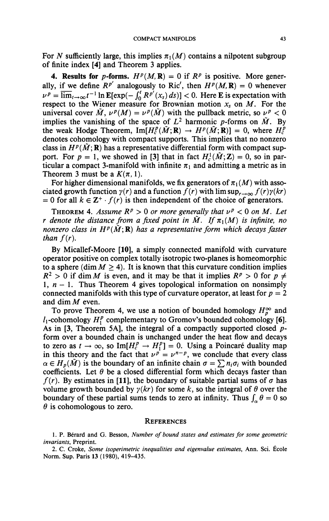For *N* sufficiently large, this implies  $\pi_1(M)$  contains a nilpotent subgroup of finite index [4] and Theorem 3 applies.

**4. Results for p-forms.**  $H^p(M, \mathbf{R}) = 0$  if  $\mathbf{R}^p$  is positive. More generally, if we define  $R^{p'}$  analogously to Ric', then  $H^p(M, \mathbf{R}) = 0$  whenever  $\nu^p = \overline{\lim}_{t\to\infty} t^{-1} \ln \mathbb{E}[\exp(-\int_0^t R^{p'}(x_s) ds)] < 0$ . Here **E** is expectation with respect to the Wiener measure for Brownian motion  $x_s$  on M. For the universal cover  $\tilde{M}$ ,  $\nu^p(M) = \nu^p(\tilde{M})$  with the pullback metric, so  $\nu^p < 0$ implies the vanishing of the space of  $L^2$  harmonic *p*-forms on  $\tilde{M}$ . By the weak Hodge Theorem,  $\text{Im}[H_c^p(\tilde{M};\mathbf{R}) \to H^p(\tilde{M};\mathbf{R})] = 0$ , where  $H_c^p$ denotes cohomology with compact supports. This implies that no nonzero class in  $H^p(\tilde{M};\mathbf{R})$  has a representative differential form with compact support. For  $p = 1$ , we showed in [3] that in fact  $H_c^1(\tilde{M};\mathbb{Z}) = 0$ , so in particular a compact 3-manifold with infinite  $\pi_1$  and admitting a metric as in Theorem 3 must be a  $K(\pi, 1)$ .

For higher dimensional manifolds, we fix generators of  $\pi_1(M)$  with associated growth function  $\gamma(r)$  and a function  $f(r)$  with  $\limsup_{r\to\infty} f(r)\gamma(kr)$  $= 0$  for all  $k \in \mathbb{Z}^+ \cdot f(r)$  is then independent of the choice of generators.

THEOREM 4. Assume  $R^p > 0$  or more generally that  $\nu^p < 0$  on M. Let *r* denote the distance from a fixed point in M. If  $\pi_1(M)$  is infinite, no *nonzero class in*  $H^p(\tilde{M};\mathbf{R})$  *has a representative form which decays faster than*  $f(r)$ .

By Micallef-Moore [10], a simply connected manifold with curvature operator positive on complex totally isotropic two-planes is homeomorphic to a sphere (dim  $M > 4$ ). It is known that this curvature condition implies  $R^2 > 0$  if dim *M* is even, and it may be that it implies  $R^p > 0$  for  $p \neq 0$ 1,  $n - 1$ . Thus Theorem 4 gives topological information on nonsimply connected manifolds with this type of curvature operator, at least for  $p = 2$ and dim *M* even.

To prove Theorem 4, we use a notion of bounded homology  $H_p^{\infty}$  and  $l_1$ -cohomology  $H_1^p$  complementary to Gromov's bounded cohomology [6]. As in  $[3,$  Theorem 5A], the integral of a compactly supported closed  $p$ form over a bounded chain is unchanged under the heat flow and decays to zero as  $t \to \infty$ , so Im $[H_c^p \to H_1^p] = 0$ . Using a Poincaré duality map in this theory and the fact that  $\nu^p = \nu^{n-p}$ , we conclude that every class  $\alpha \in H_p(M)$  is the boundary of an infinite chain  $\sigma = \sum n_i \sigma_i$  with bounded coefficients. Let  $\theta$  be a closed differential form which decays faster than  $f(r)$ . By estimates in [11], the boundary of suitable partial sums of  $\sigma$  has volume growth bounded by  $\gamma(kr)$  for some k, so the integral of  $\theta$  over the boundary of these partial sums tends to zero at infinity. Thus  $\int_{\alpha} \theta = 0$  so  $\theta$  is cohomologous to zero.

## **REFERENCES**

**1. P. Bérard and G. Besson,** *Number of bound states and estimates for some geometric invariants,* **Preprint.** 

**2. C. Croke,** *Some isoperimetric inequalities and eigenvalue estimates,* **Ann. Sci. École Norm. Sup. Paris 13 (1980), 419-435.**